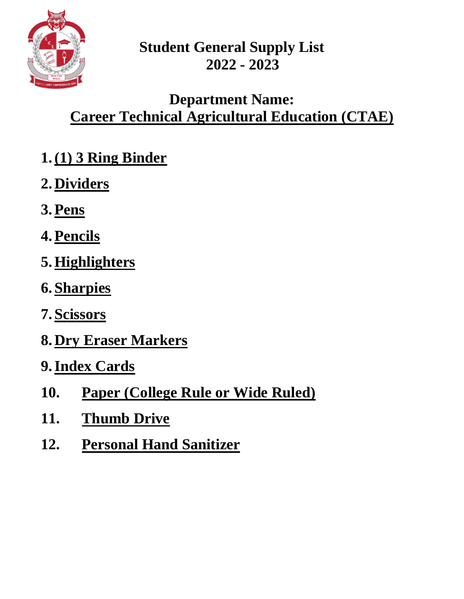

### **Department Name: Career Technical Agricultural Education (CTAE)**

- **1.(1) 3 Ring Binder**
- **2. Dividers**
- **3.Pens**
- **4.Pencils**
- **5.Highlighters**
- **6. Sharpies**
- **7. Scissors**
- **8. Dry Eraser Markers**
- **9.Index Cards**
- **10. Paper (College Rule or Wide Ruled)**
- **11. Thumb Drive**
- **12. Personal Hand Sanitizer**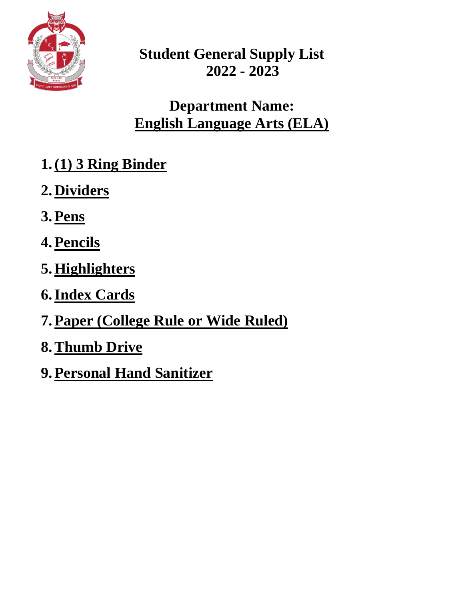

# **Department Name: English Language Arts (ELA)**

- **1.(1) 3 Ring Binder**
- **2. Dividers**
- **3.Pens**
- **4.Pencils**
- **5.Highlighters**
- **6.Index Cards**
- **7.Paper (College Rule or Wide Ruled)**
- **8.Thumb Drive**
- **9.Personal Hand Sanitizer**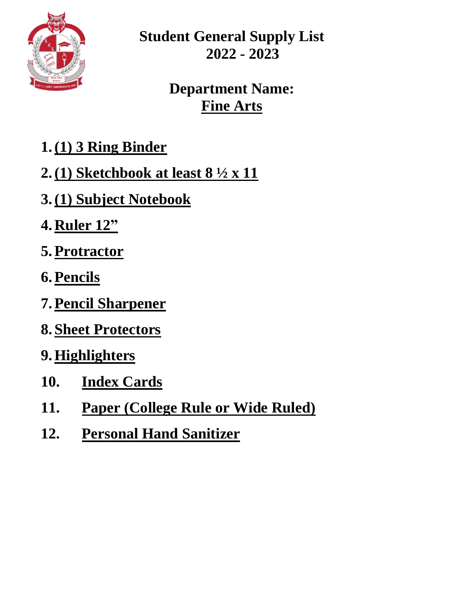

# **Department Name: Fine Arts**

- **1.(1) 3 Ring Binder**
- **2.(1) Sketchbook at least 8 ½ x 11**
- **3.(1) Subject Notebook**
- **4. Ruler 12"**
- **5.Protractor**
- **6.Pencils**
- **7.Pencil Sharpener**
- **8. Sheet Protectors**
- **9.Highlighters**
- **10. Index Cards**
- **11. Paper (College Rule or Wide Ruled)**
- **12. Personal Hand Sanitizer**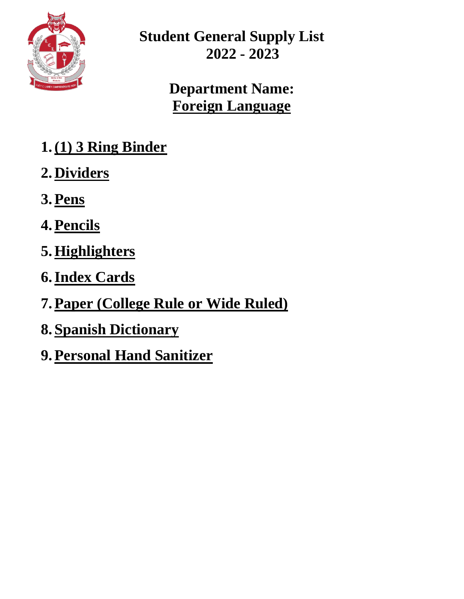

> **Department Name: Foreign Language**

- **1.(1) 3 Ring Binder**
- **2. Dividers**
- **3.Pens**
- **4.Pencils**
- **5.Highlighters**
- **6.Index Cards**
- **7.Paper (College Rule or Wide Ruled)**
- **8. Spanish Dictionary**
- **9.Personal Hand Sanitizer**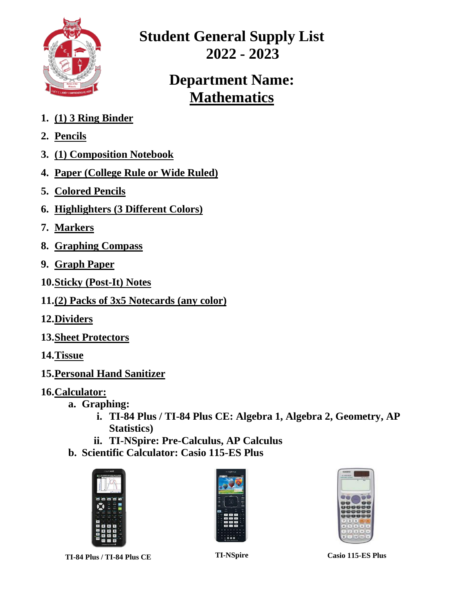

#### **Department Name: Mathematics**

- **1. (1) 3 Ring Binder**
- **2. Pencils**
- **3. (1) Composition Notebook**
- **4. Paper (College Rule or Wide Ruled)**
- **5. Colored Pencils**
- **6. Highlighters (3 Different Colors)**
- **7. Markers**
- **8. Graphing Compass**
- **9. Graph Paper**
- **10.Sticky (Post-It) Notes**
- **11.(2) Packs of 3x5 Notecards (any color)**
- **12.Dividers**
- **13.Sheet Protectors**
- **14.Tissue**
- **15.Personal Hand Sanitizer**
- **16.Calculator:**
	- **a. Graphing:** 
		- **i. TI-84 Plus / TI-84 Plus CE: Algebra 1, Algebra 2, Geometry, AP Statistics)**
		- **ii. TI-NSpire: Pre-Calculus, AP Calculus**
	- **b. Scientific Calculator: Casio 115-ES Plus**







**TI-84 Plus / TI-84 Plus CE TI-NSpire Casio 115-ES Plus**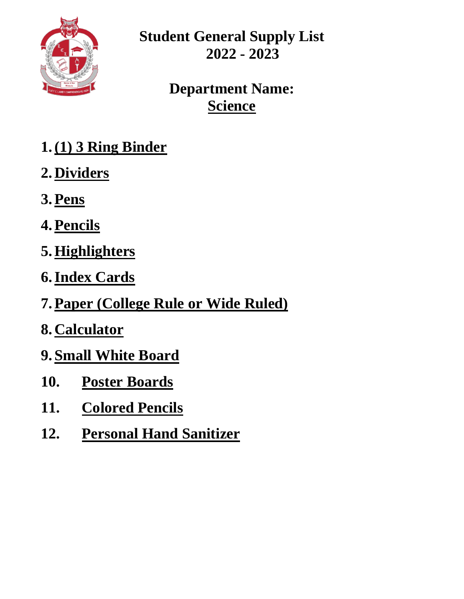

# **Department Name: Science**

- **1.(1) 3 Ring Binder**
- **2. Dividers**
- **3.Pens**
- **4.Pencils**
- **5.Highlighters**
- **6.Index Cards**
- **7.Paper (College Rule or Wide Ruled)**
- **8. Calculator**
- **9. Small White Board**
- **10. Poster Boards**
- **11. Colored Pencils**
- **12. Personal Hand Sanitizer**